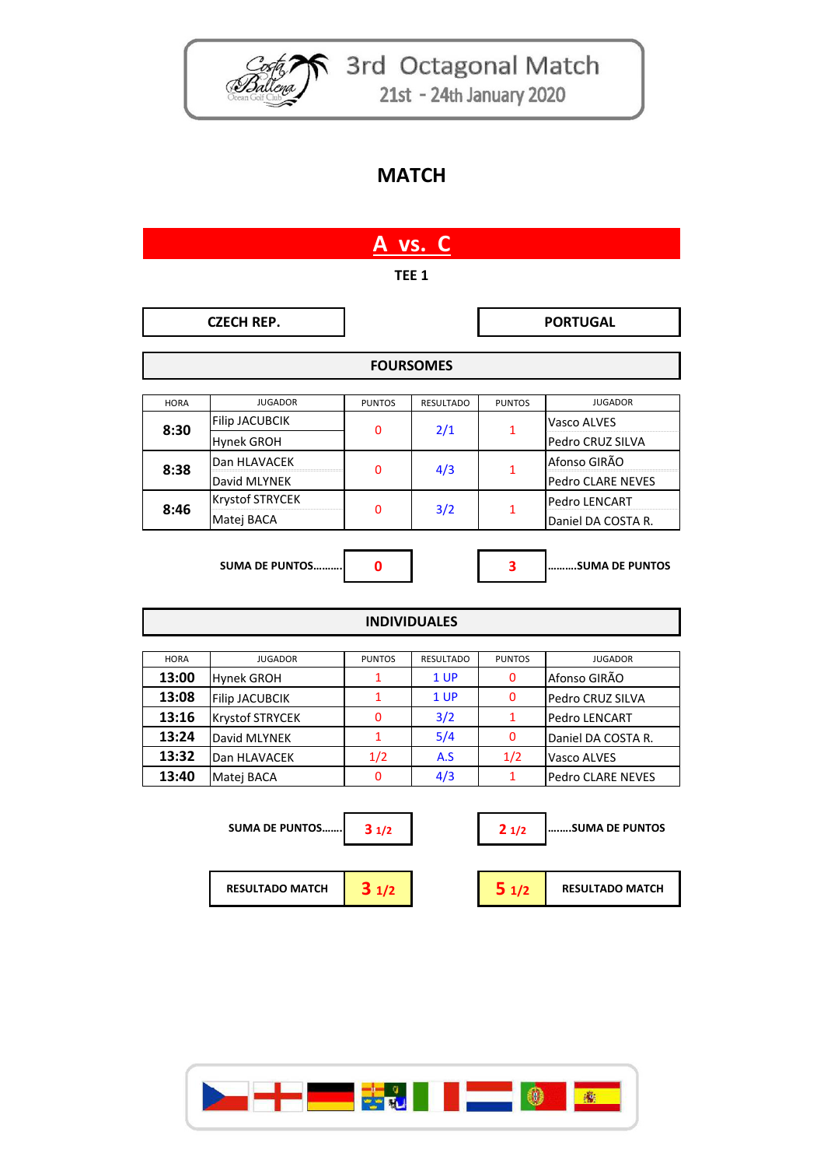

Coster 3rd Octagonal Match 21st - 24th January 2020

## **MATCH**

| A vs. C             |                        |               |                  |               |                          |  |  |  |  |
|---------------------|------------------------|---------------|------------------|---------------|--------------------------|--|--|--|--|
| TEE <sub>1</sub>    |                        |               |                  |               |                          |  |  |  |  |
|                     | <b>CZECH REP.</b>      |               |                  |               | <b>PORTUGAL</b>          |  |  |  |  |
| <b>FOURSOMES</b>    |                        |               |                  |               |                          |  |  |  |  |
|                     |                        |               |                  |               |                          |  |  |  |  |
| <b>HORA</b>         | <b>JUGADOR</b>         | <b>PUNTOS</b> | <b>RESULTADO</b> | <b>PUNTOS</b> | <b>JUGADOR</b>           |  |  |  |  |
|                     | <b>Filip JACUBCIK</b>  | 0             |                  | 1             | Vasco ALVES              |  |  |  |  |
| 8:30                | Hynek GROH             |               | 2/1              |               | Pedro CRUZ SILVA         |  |  |  |  |
|                     | Dan HLAVACEK           |               | 4/3              | $\mathbf{1}$  | Afonso GIRÃO             |  |  |  |  |
| 8:38                | David MLYNEK           | 0             |                  |               | Pedro CLARE NEVES        |  |  |  |  |
|                     | Krystof STRYCEK        |               |                  | 1             | <b>Pedro LENCART</b>     |  |  |  |  |
| 8:46                | Matej BACA             | 0             | 3/2              |               | Daniel DA COSTA R.       |  |  |  |  |
|                     |                        |               |                  |               |                          |  |  |  |  |
|                     | <b>SUMA DE PUNTOS</b>  | $\mathbf 0$   |                  | 3             | SUMA DE PUNTOS           |  |  |  |  |
|                     |                        |               |                  |               |                          |  |  |  |  |
| <b>INDIVIDUALES</b> |                        |               |                  |               |                          |  |  |  |  |
| <b>HORA</b>         | <b>JUGADOR</b>         | <b>PUNTOS</b> | <b>RESULTADO</b> | <b>PUNTOS</b> | <b>JUGADOR</b>           |  |  |  |  |
| 13:00               | <b>Hynek GROH</b>      | 1             | 1 UP             | 0             | Afonso GIRÃO             |  |  |  |  |
| 13:08               | <b>Filip JACUBCIK</b>  | $\mathbf{1}$  | 1 UP             | $\Omega$      | Pedro CRUZ SILVA         |  |  |  |  |
| 13:16               | Krystof STRYCEK        | 0             | 3/2              | $\mathbf{1}$  | Pedro LENCART            |  |  |  |  |
| 13:24               | David MLYNEK           | 1             | 5/4              | 0             | Daniel DA COSTA R.       |  |  |  |  |
| 13:32               | Dan HLAVACEK           | 1/2           | A.S              | 1/2           | Vasco ALVES              |  |  |  |  |
| 13:40               |                        | 0             | 4/3              | $\mathbf{1}$  | <b>Pedro CLARE NEVES</b> |  |  |  |  |
|                     | Matej BACA             |               |                  |               |                          |  |  |  |  |
|                     | <b>SUMA DE PUNTOS</b>  | 31/2          |                  | 21/2          | SUMA DE PUNTOS           |  |  |  |  |
|                     | <b>RESULTADO MATCH</b> | 31/2          |                  | 51/2          | <b>RESULTADO MATCH</b>   |  |  |  |  |